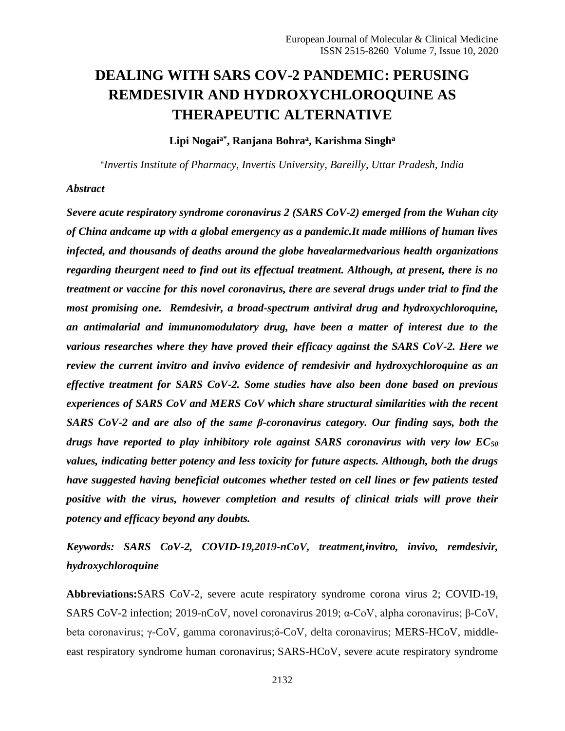# **DEALING WITH SARS COV-2 PANDEMIC: PERUSING REMDESIVIR AND HYDROXYCHLOROQUINE AS THERAPEUTIC ALTERNATIVE**

**Lipi Nogaia\*, Ranjana Bohra<sup>a</sup> , Karishma Singh<sup>a</sup>**

a *Invertis Institute of Pharmacy, Invertis University, Bareilly, Uttar Pradesh, India*

#### *Abstract*

*Severe acute respiratory syndrome coronavirus 2 (SARS CoV-2) emerged from the Wuhan city of China andcame up with a global emergency as a pandemic.It made millions of human lives infected, and thousands of deaths around the globe havealarmedvarious health organizations regarding theurgent need to find out its effectual treatment. Although, at present, there is no treatment or vaccine for this novel coronavirus, there are several drugs under trial to find the most promising one. Remdesivir, a broad-spectrum antiviral drug and hydroxychloroquine, an antimalarial and immunomodulatory drug, have been a matter of interest due to the various researches where they have proved their efficacy against the SARS CoV-2. Here we review the current invitro and invivo evidence of remdesivir and hydroxychloroquine as an effective treatment for SARS CoV-2. Some studies have also been done based on previous experiences of SARS CoV and MERS CoV which share structural similarities with the recent SARS CoV-2 and are also of the same β-coronavirus category. Our finding says, both the drugs have reported to play inhibitory role against SARS coronavirus with very low EC<sup>50</sup> values, indicating better potency and less toxicity for future aspects. Although, both the drugs have suggested having beneficial outcomes whether tested on cell lines or few patients tested positive with the virus, however completion and results of clinical trials will prove their potency and efficacy beyond any doubts.* 

*Keywords: SARS CoV-2, COVID-19,2019-nCoV, treatment,invitro, invivo, remdesivir, hydroxychloroquine*

**Abbreviations:**SARS CoV-2, severe acute respiratory syndrome corona virus 2; COVID-19, SARS CoV-2 infection; 2019-nCoV, novel coronavirus 2019; α-CoV, alpha coronavirus; β-CoV, beta coronavirus; γ-CoV, gamma coronavirus;δ-CoV, delta coronavirus; MERS-HCoV, middleeast respiratory syndrome human coronavirus; SARS-HCoV, severe acute respiratory syndrome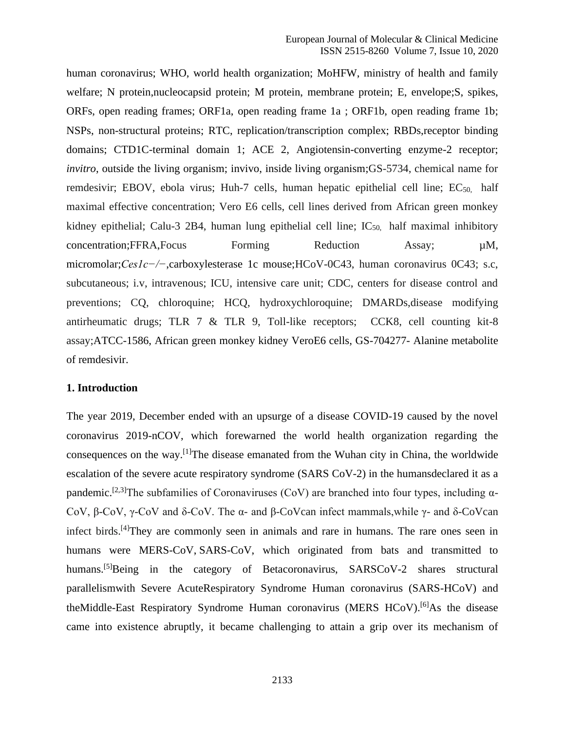human coronavirus; WHO, world health organization; MoHFW, ministry of health and family welfare; N protein,nucleocapsid protein; M protein, membrane protein; E, envelope;S, spikes, ORFs, open reading frames; ORF1a, open reading frame 1a ; ORF1b, open reading frame 1b; NSPs, non-structural proteins; RTC, replication/transcription complex; RBDs,receptor binding domains; CTD1C-terminal domain 1; ACE 2, Angiotensin-converting enzyme-2 receptor; *invitro*, outside the living organism; invivo, inside living organism;GS-5734, chemical name for remdesivir; EBOV, ebola virus; Huh-7 cells, human hepatic epithelial cell line;  $EC_{50}$  half maximal effective concentration; Vero E6 cells, cell lines derived from African green monkey kidney epithelial; Calu-3 2B4, human lung epithelial cell line;  $IC_{50}$  half maximal inhibitory concentration;FFRA,Focus Forming Reduction Assay;  $\mu$ M, micromolar;*Ces1c−/−*,carboxylesterase 1c mouse;HCoV-0C43, human coronavirus 0C43; s.c, subcutaneous; i.v, intravenous; ICU, intensive care unit; CDC, centers for disease control and preventions; CQ, chloroquine; HCQ, hydroxychloroquine; DMARDs,disease modifying antirheumatic drugs; TLR 7 & TLR 9, Toll-like receptors; CCK8, cell counting kit-8 assay;ATCC-1586, African green monkey kidney VeroE6 cells, GS-704277- Alanine metabolite of remdesivir.

#### **1. Introduction**

The year 2019, December ended with an upsurge of a disease COVID-19 caused by the novel coronavirus 2019-nCOV, which forewarned the world health organization regarding the consequences on the way.[1]The disease emanated from the Wuhan city in China, the worldwide escalation of the severe acute respiratory syndrome (SARS CoV-2) in the humansdeclared it as a pandemic.<sup>[2,3]</sup>The subfamilies of Coronaviruses (CoV) are branched into four types, including  $\alpha$ -CoV, β-CoV, γ-CoV and δ-CoV. The α- and β-CoVcan infect mammals,while γ- and δ-CoVcan infect birds.[4]They are commonly seen in animals and rare in humans. The rare ones seen in humans were MERS-CoV, SARS-CoV, which originated from bats and transmitted to humans.<sup>[5]</sup>Being in the category of Betacoronavirus, SARSCoV-2 shares structural parallelismwith Severe AcuteRespiratory Syndrome Human coronavirus (SARS-HCoV) and theMiddle-East Respiratory Syndrome Human coronavirus (MERS HCoV).<sup>[6]</sup>As the disease came into existence abruptly, it became challenging to attain a grip over its mechanism of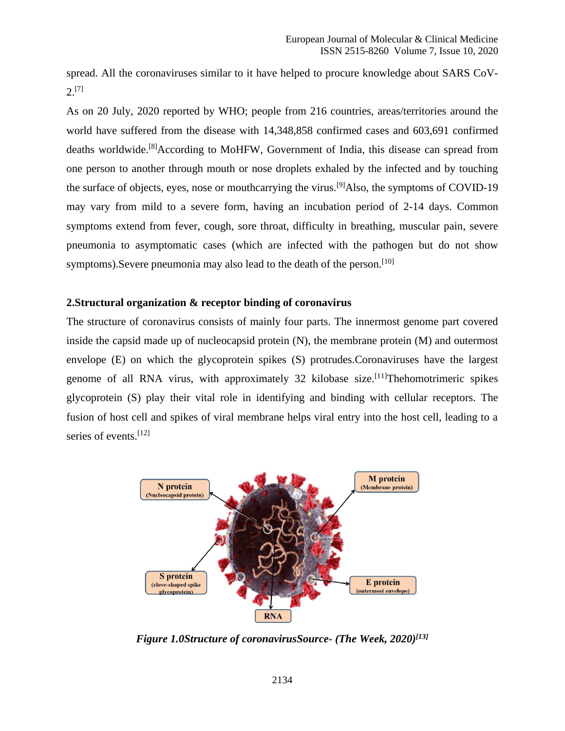spread. All the coronaviruses similar to it have helped to procure knowledge about SARS CoV- $2^{[7]}$ 

As on 20 July, 2020 reported by WHO; people from 216 countries, areas/territories around the world have suffered from the disease with 14,348,858 confirmed cases and 603,691 confirmed deaths worldwide.<sup>[8]</sup>According to MoHFW, Government of India, this disease can spread from one person to another through mouth or nose droplets exhaled by the infected and by touching the surface of objects, eyes, nose or mouthcarrying the virus.<sup>[9]</sup>Also, the symptoms of COVID-19 may vary from mild to a severe form, having an incubation period of 2-14 days. Common symptoms extend from fever, cough, sore throat, difficulty in breathing, muscular pain, severe pneumonia to asymptomatic cases (which are infected with the pathogen but do not show symptoms). Severe pneumonia may also lead to the death of the person.<sup>[10]</sup>

## **2.Structural organization & receptor binding of coronavirus**

The structure of coronavirus consists of mainly four parts. The innermost genome part covered inside the capsid made up of nucleocapsid protein (N), the membrane protein (M) and outermost envelope (E) on which the glycoprotein spikes (S) protrudes.Coronaviruses have the largest genome of all RNA virus, with approximately 32 kilobase size.<sup>[11]</sup>Thehomotrimeric spikes glycoprotein (S) play their vital role in identifying and binding with cellular receptors. The fusion of host cell and spikes of viral membrane helps viral entry into the host cell, leading to a series of events.<sup>[12]</sup>



*Figure 1.0Structure of coronavirusSource- (The Week, 2020)[13]*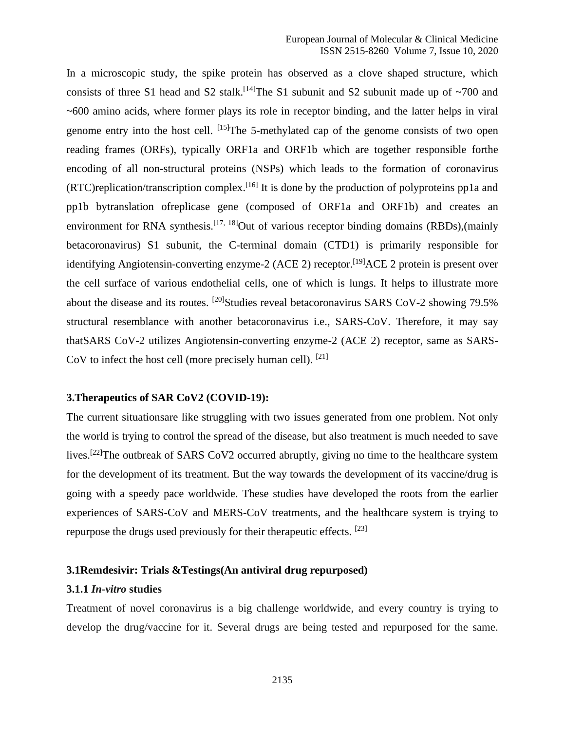In a microscopic study, the spike protein has observed as a clove shaped structure, which consists of three S1 head and S2 stalk.<sup>[14]</sup>The S1 subunit and S2 subunit made up of  $\sim$ 700 and ~600 amino acids, where former plays its role in receptor binding, and the latter helps in viral genome entry into the host cell. [15] The 5-methylated cap of the genome consists of two open reading frames (ORFs), typically ORF1a and ORF1b which are together responsible forthe encoding of all non-structural proteins (NSPs) which leads to the formation of coronavirus  $(RTC)$ replication/transcription complex.<sup>[16]</sup> It is done by the production of polyproteins pp1a and pp1b bytranslation ofreplicase gene (composed of ORF1a and ORF1b) and creates an environment for RNA synthesis.<sup>[17, 18]</sup>Out of various receptor binding domains (RBDs),(mainly betacoronavirus) S1 subunit, the C-terminal domain (CTD1) is primarily responsible for identifying Angiotensin-converting enzyme-2 (ACE 2) receptor.<sup>[19]</sup>ACE 2 protein is present over the cell surface of various endothelial cells, one of which is lungs. It helps to illustrate more about the disease and its routes. <sup>[20]</sup>Studies reveal betacoronavirus SARS CoV-2 showing 79.5% structural resemblance with another betacoronavirus i.e., SARS-CoV. Therefore, it may say thatSARS CoV-2 utilizes Angiotensin-converting enzyme-2 (ACE 2) receptor, same as SARS-CoV to infect the host cell (more precisely human cell). [21]

#### **3.Therapeutics of SAR CoV2 (COVID-19):**

The current situationsare like struggling with two issues generated from one problem. Not only the world is trying to control the spread of the disease, but also treatment is much needed to save lives.<sup>[22]</sup>The outbreak of SARS CoV2 occurred abruptly, giving no time to the healthcare system for the development of its treatment. But the way towards the development of its vaccine/drug is going with a speedy pace worldwide. These studies have developed the roots from the earlier experiences of SARS-CoV and MERS-CoV treatments, and the healthcare system is trying to repurpose the drugs used previously for their therapeutic effects. [23]

## **3.1Remdesivir: Trials &Testings(An antiviral drug repurposed)**

#### **3.1.1** *In-vitro* **studies**

Treatment of novel coronavirus is a big challenge worldwide, and every country is trying to develop the drug/vaccine for it. Several drugs are being tested and repurposed for the same.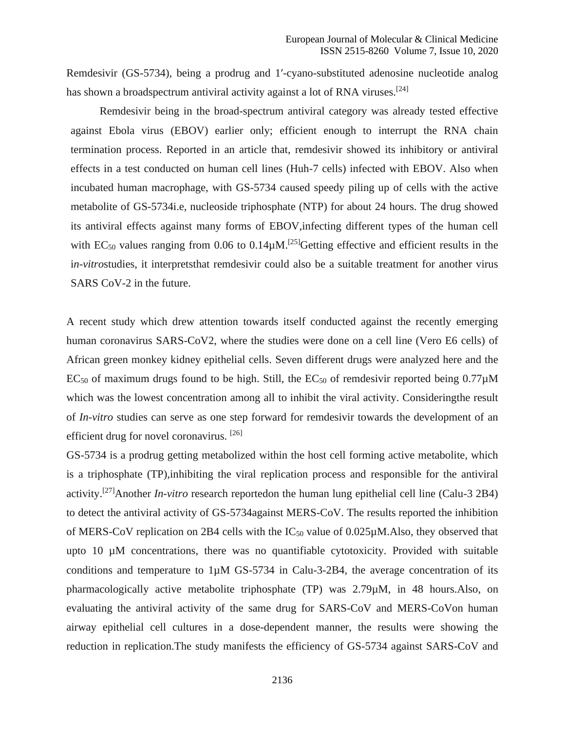Remdesivir (GS-5734), being a prodrug and 1′-cyano-substituted adenosine nucleotide analog has shown a broadspectrum antiviral activity against a lot of RNA viruses.<sup>[24]</sup>

Remdesivir being in the broad-spectrum antiviral category was already tested effective against Ebola virus (EBOV) earlier only; efficient enough to interrupt the RNA chain termination process. Reported in an article that, remdesivir showed its inhibitory or antiviral effects in a test conducted on human cell lines (Huh-7 cells) infected with EBOV. Also when incubated human macrophage, with GS-5734 caused speedy piling up of cells with the active metabolite of GS-5734i.e, nucleoside triphosphate (NTP) for about 24 hours. The drug showed its antiviral effects against many forms of EBOV,infecting different types of the human cell with  $EC_{50}$  values ranging from 0.06 to 0.14 $\mu$ M.<sup>[25]</sup>Getting effective and efficient results in the i*n-vitro*studies, it interpretsthat remdesivir could also be a suitable treatment for another virus SARS CoV-2 in the future.

A recent study which drew attention towards itself conducted against the recently emerging human coronavirus SARS-CoV2, where the studies were done on a cell line (Vero E6 cells) of African green monkey kidney epithelial cells. Seven different drugs were analyzed here and the EC<sub>50</sub> of maximum drugs found to be high. Still, the EC<sub>50</sub> of remdesivir reported being  $0.77\mu$ M which was the lowest concentration among all to inhibit the viral activity. Consideringthe result of *In-vitro* studies can serve as one step forward for remdesivir towards the development of an efficient drug for novel coronavirus. <sup>[26]</sup>

GS-5734 is a prodrug getting metabolized within the host cell forming active metabolite, which is a triphosphate (TP),inhibiting the viral replication process and responsible for the antiviral activity. [27]Another *In-vitro* research reportedon the human lung epithelial cell line (Calu-3 2B4) to detect the antiviral activity of GS-5734against MERS-CoV. The results reported the inhibition of MERS-CoV replication on 2B4 cells with the  $IC_{50}$  value of 0.025 $\mu$ M.Also, they observed that upto 10 µM concentrations, there was no quantifiable cytotoxicity. Provided with suitable conditions and temperature to  $1\mu$ M GS-5734 in Calu-3-2B4, the average concentration of its pharmacologically active metabolite triphosphate (TP) was 2.79µM, in 48 hours.Also, on evaluating the antiviral activity of the same drug for SARS-CoV and MERS-CoVon human airway epithelial cell cultures in a dose-dependent manner, the results were showing the reduction in replication.The study manifests the efficiency of GS-5734 against SARS-CoV and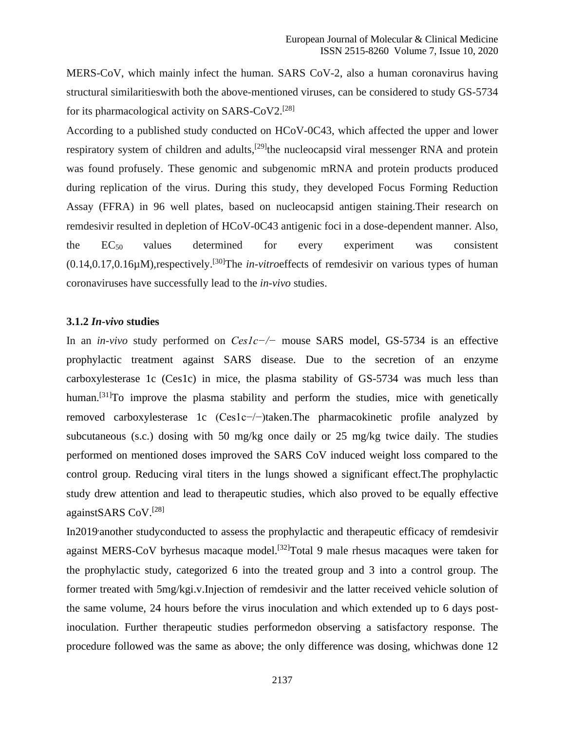MERS-CoV, which mainly infect the human. SARS CoV-2, also a human coronavirus having structural similaritieswith both the above-mentioned viruses, can be considered to study GS-5734 for its pharmacological activity on SARS-CoV2.<sup>[28]</sup>

According to a published study conducted on HCoV-0C43, which affected the upper and lower respiratory system of children and adults,<sup>[29]</sup>the nucleocapsid viral messenger RNA and protein was found profusely. These genomic and subgenomic mRNA and protein products produced during replication of the virus. During this study, they developed Focus Forming Reduction Assay (FFRA) in 96 well plates, based on nucleocapsid antigen staining.Their research on remdesivir resulted in depletion of HCoV-0C43 antigenic foci in a dose-dependent manner. Also, the EC50 values determined for every experiment was consistent (0.14,0.17,0.16µM),respectively.[30]The *in-vitro*effects of remdesivir on various types of human coronaviruses have successfully lead to the *in-vivo* studies.

#### **3.1.2** *In-vivo* **studies**

In an *in-vivo* study performed on *Ces1c−/−* mouse SARS model, GS-5734 is an effective prophylactic treatment against SARS disease. Due to the secretion of an enzyme carboxylesterase 1c (Ces1c) in mice, the plasma stability of GS-5734 was much less than human.<sup>[31]</sup>To improve the plasma stability and perform the studies, mice with genetically removed carboxylesterase 1c (Ces1c−/−)taken.The pharmacokinetic profile analyzed by subcutaneous (s.c.) dosing with 50 mg/kg once daily or 25 mg/kg twice daily. The studies performed on mentioned doses improved the SARS CoV induced weight loss compared to the control group. Reducing viral titers in the lungs showed a significant effect.The prophylactic study drew attention and lead to therapeutic studies, which also proved to be equally effective againstSARS CoV.<sup>[28]</sup>

In2019 another studyconducted to assess the prophylactic and therapeutic efficacy of remdesivir against MERS-CoV byrhesus macaque model.<sup>[32]</sup>Total 9 male rhesus macaques were taken for the prophylactic study, categorized 6 into the treated group and 3 into a control group. The former treated with 5mg/kgi.v.Injection of remdesivir and the latter received vehicle solution of the same volume, 24 hours before the virus inoculation and which extended up to 6 days postinoculation. Further therapeutic studies performedon observing a satisfactory response. The procedure followed was the same as above; the only difference was dosing, whichwas done 12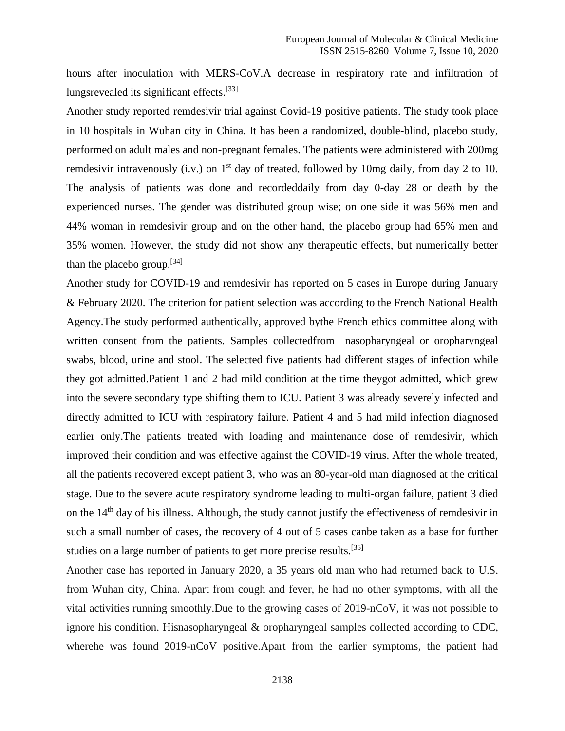hours after inoculation with MERS-CoV.A decrease in respiratory rate and infiltration of lungsrevealed its significant effects.<sup>[33]</sup>

Another study reported remdesivir trial against Covid-19 positive patients. The study took place in 10 hospitals in Wuhan city in China. It has been a randomized, double-blind, placebo study, performed on adult males and non-pregnant females. The patients were administered with 200mg remdesivir intravenously (i.v.) on  $1<sup>st</sup>$  day of treated, followed by 10mg daily, from day 2 to 10. The analysis of patients was done and recordeddaily from day 0-day 28 or death by the experienced nurses. The gender was distributed group wise; on one side it was 56% men and 44% woman in remdesivir group and on the other hand, the placebo group had 65% men and 35% women. However, the study did not show any therapeutic effects, but numerically better than the placebo group.<sup>[34]</sup>

Another study for COVID-19 and remdesivir has reported on 5 cases in Europe during January & February 2020. The criterion for patient selection was according to the French National Health Agency.The study performed authentically, approved bythe French ethics committee along with written consent from the patients. Samples collectedfrom nasopharyngeal or oropharyngeal swabs, blood, urine and stool. The selected five patients had different stages of infection while they got admitted.Patient 1 and 2 had mild condition at the time theygot admitted, which grew into the severe secondary type shifting them to ICU. Patient 3 was already severely infected and directly admitted to ICU with respiratory failure. Patient 4 and 5 had mild infection diagnosed earlier only.The patients treated with loading and maintenance dose of remdesivir, which improved their condition and was effective against the COVID-19 virus. After the whole treated, all the patients recovered except patient 3, who was an 80-year-old man diagnosed at the critical stage. Due to the severe acute respiratory syndrome leading to multi-organ failure, patient 3 died on the 14<sup>th</sup> day of his illness. Although, the study cannot justify the effectiveness of remdesivir in such a small number of cases, the recovery of 4 out of 5 cases canbe taken as a base for further studies on a large number of patients to get more precise results.[35]

Another case has reported in January 2020, a 35 years old man who had returned back to U.S. from Wuhan city, China. Apart from cough and fever, he had no other symptoms, with all the vital activities running smoothly.Due to the growing cases of 2019-nCoV, it was not possible to ignore his condition. Hisnasopharyngeal & oropharyngeal samples collected according to CDC, wherehe was found 2019-nCoV positive.Apart from the earlier symptoms, the patient had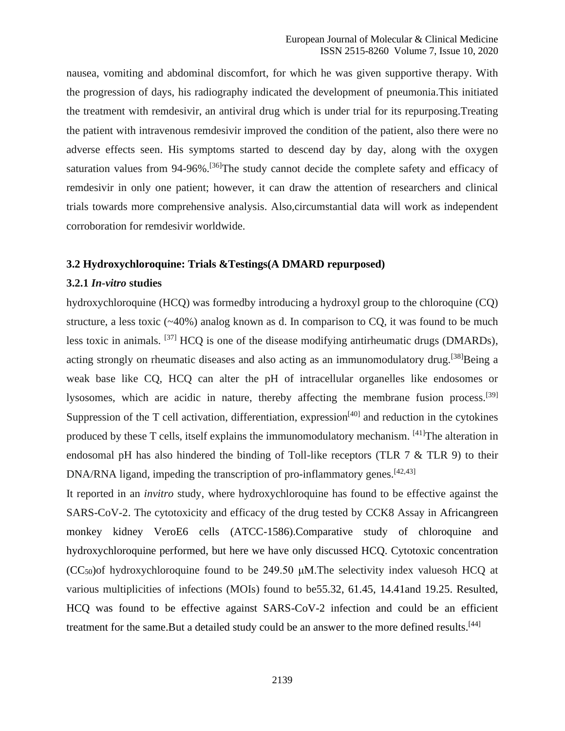nausea, vomiting and abdominal discomfort, for which he was given supportive therapy. With the progression of days, his radiography indicated the development of pneumonia.This initiated the treatment with remdesivir, an antiviral drug which is under trial for its repurposing.Treating the patient with intravenous remdesivir improved the condition of the patient, also there were no adverse effects seen. His symptoms started to descend day by day, along with the oxygen saturation values from 94-96%.<sup>[36]</sup>The study cannot decide the complete safety and efficacy of remdesivir in only one patient; however, it can draw the attention of researchers and clinical trials towards more comprehensive analysis. Also,circumstantial data will work as independent corroboration for remdesivir worldwide.

#### **3.2 Hydroxychloroquine: Trials &Testings(A DMARD repurposed)**

#### **3.2.1** *In-vitro* **studies**

hydroxychloroquine (HCQ) was formedby introducing a hydroxyl group to the chloroquine (CQ) structure, a less toxic  $(\sim 40\%)$  analog known as d. In comparison to CQ, it was found to be much less toxic in animals. [37] HCQ is one of the disease modifying antirheumatic drugs (DMARDs), acting strongly on rheumatic diseases and also acting as an immunomodulatory drug.<sup>[38]</sup>Being a weak base like CQ, HCQ can alter the pH of intracellular organelles like endosomes or lysosomes, which are acidic in nature, thereby affecting the membrane fusion process.<sup>[39]</sup> Suppression of the T cell activation, differentiation, expression<sup>[40]</sup> and reduction in the cytokines produced by these  $T$  cells, itself explains the immunomodulatory mechanism.  $[41]$ The alteration in endosomal pH has also hindered the binding of Toll-like receptors (TLR 7 & TLR 9) to their DNA/RNA ligand, impeding the transcription of pro-inflammatory genes.<sup>[42,43]</sup>

It reported in an *invitro* study, where hydroxychloroquine has found to be effective against the SARS-CoV-2. The cytotoxicity and efficacy of the drug tested by CCK8 Assay in Africangreen monkey kidney VeroE6 cells (ATCC-1586).Comparative study of chloroquine and hydroxychloroquine performed, but here we have only discussed HCQ. Cytotoxic concentration  $(CC<sub>50</sub>)$ of hydroxychloroquine found to be 249.50  $\mu$ M. The selectivity index valuesoh HCQ at various multiplicities of infections (MOIs) found to be55.32, 61.45, 14.41and 19.25. Resulted, HCQ was found to be effective against SARS-CoV-2 infection and could be an efficient treatment for the same.But a detailed study could be an answer to the more defined results.<sup>[44]</sup>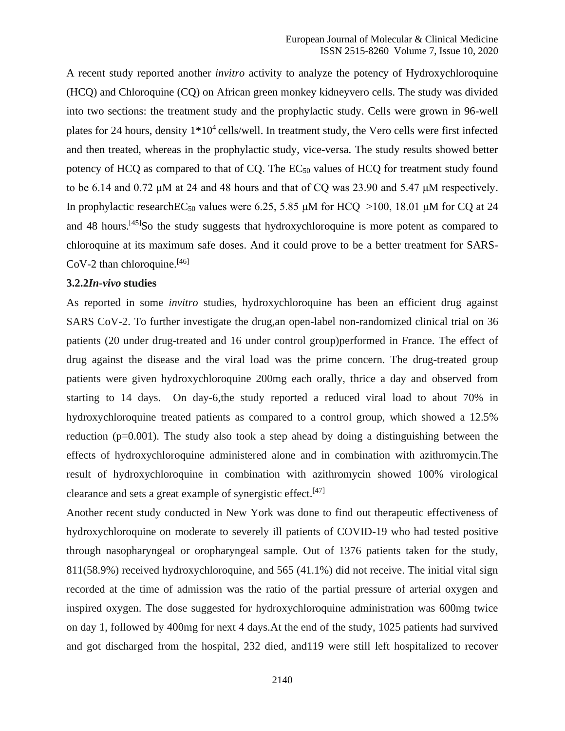A recent study reported another *invitro* activity to analyze the potency of Hydroxychloroquine (HCQ) and Chloroquine (CQ) on African green monkey kidneyvero cells. The study was divided into two sections: the treatment study and the prophylactic study. Cells were grown in 96-well plates for 24 hours, density  $1*10^4$  cells/well. In treatment study, the Vero cells were first infected and then treated, whereas in the prophylactic study, vice-versa. The study results showed better potency of HCQ as compared to that of CQ. The  $EC_{50}$  values of HCQ for treatment study found to be 6.14 and 0.72 μM at 24 and 48 hours and that of CQ was 23.90 and 5.47 μM respectively. In prophylactic research  $EC_{50}$  values were 6.25, 5.85 μM for HCQ >100, 18.01 μM for CQ at 24 and 48 hours.<sup>[45]</sup>So the study suggests that hydroxychloroquine is more potent as compared to chloroquine at its maximum safe doses. And it could prove to be a better treatment for SARS-CoV-2 than chloroquine.<sup>[46]</sup>

#### **3.2.2***In-vivo* **studies**

As reported in some *invitro* studies, hydroxychloroquine has been an efficient drug against SARS CoV-2. To further investigate the drug,an open-label non-randomized clinical trial on 36 patients (20 under drug-treated and 16 under control group)performed in France. The effect of drug against the disease and the viral load was the prime concern. The drug-treated group patients were given hydroxychloroquine 200mg each orally, thrice a day and observed from starting to 14 days. On day-6,the study reported a reduced viral load to about 70% in hydroxychloroquine treated patients as compared to a control group, which showed a 12.5% reduction (p=0.001). The study also took a step ahead by doing a distinguishing between the effects of hydroxychloroquine administered alone and in combination with azithromycin.The result of hydroxychloroquine in combination with azithromycin showed 100% virological clearance and sets a great example of synergistic effect.[47]

Another recent study conducted in New York was done to find out therapeutic effectiveness of hydroxychloroquine on moderate to severely ill patients of COVID-19 who had tested positive through nasopharyngeal or oropharyngeal sample. Out of 1376 patients taken for the study, 811(58.9%) received hydroxychloroquine, and 565 (41.1%) did not receive. The initial vital sign recorded at the time of admission was the ratio of the partial pressure of arterial oxygen and inspired oxygen. The dose suggested for hydroxychloroquine administration was 600mg twice on day 1, followed by 400mg for next 4 days.At the end of the study, 1025 patients had survived and got discharged from the hospital, 232 died, and119 were still left hospitalized to recover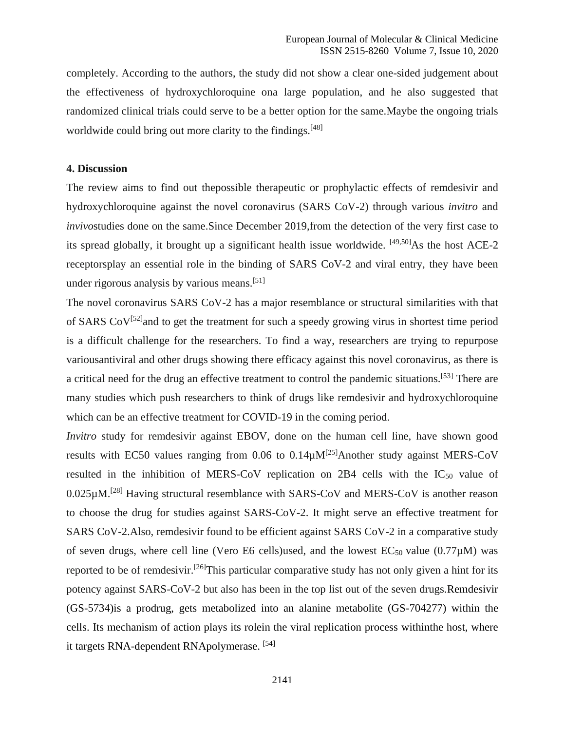completely. According to the authors, the study did not show a clear one-sided judgement about the effectiveness of hydroxychloroquine ona large population, and he also suggested that randomized clinical trials could serve to be a better option for the same.Maybe the ongoing trials worldwide could bring out more clarity to the findings.<sup>[48]</sup>

#### **4. Discussion**

The review aims to find out thepossible therapeutic or prophylactic effects of remdesivir and hydroxychloroquine against the novel coronavirus (SARS CoV-2) through various *invitro* and *invivo*studies done on the same.Since December 2019,from the detection of the very first case to its spread globally, it brought up a significant health issue worldwide.  $[49,50]$ As the host ACE-2 receptorsplay an essential role in the binding of SARS CoV-2 and viral entry, they have been under rigorous analysis by various means.[51]

The novel coronavirus SARS CoV-2 has a major resemblance or structural similarities with that of SARS  $CoV^{[52]}$  and to get the treatment for such a speedy growing virus in shortest time period is a difficult challenge for the researchers. To find a way, researchers are trying to repurpose variousantiviral and other drugs showing there efficacy against this novel coronavirus, as there is a critical need for the drug an effective treatment to control the pandemic situations.[53] There are many studies which push researchers to think of drugs like remdesivir and hydroxychloroquine which can be an effective treatment for COVID-19 in the coming period.

*Invitro* study for remdesivir against EBOV, done on the human cell line, have shown good results with EC50 values ranging from 0.06 to  $0.14 \mu M^{[25]}$ Another study against MERS-CoV resulted in the inhibition of MERS-CoV replication on 2B4 cells with the  $IC_{50}$  value of  $0.025 \mu$ M.<sup>[28]</sup> Having structural resemblance with SARS-CoV and MERS-CoV is another reason to choose the drug for studies against SARS-CoV-2. It might serve an effective treatment for SARS CoV-2.Also, remdesivir found to be efficient against SARS CoV-2 in a comparative study of seven drugs, where cell line (Vero E6 cells)used, and the lowest  $EC_{50}$  value (0.77 $\mu$ M) was reported to be of remdesivir.<sup>[26]</sup>This particular comparative study has not only given a hint for its potency against SARS-CoV-2 but also has been in the top list out of the seven drugs.Remdesivir (GS-5734)is a prodrug, gets metabolized into an alanine metabolite (GS-704277) within the cells. Its mechanism of action plays its rolein the viral replication process withinthe host, where it targets RNA-dependent RNApolymerase. [54]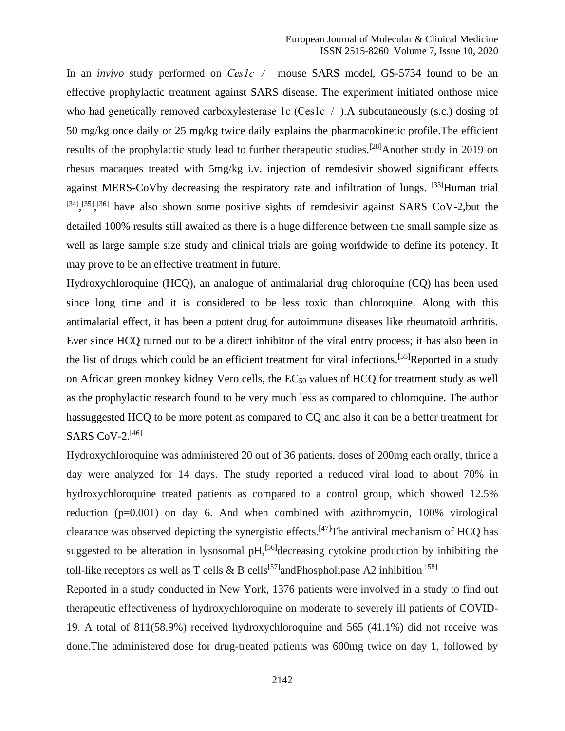In an *invivo* study performed on *Ces1c−/−* mouse SARS model, GS-5734 found to be an effective prophylactic treatment against SARS disease. The experiment initiated onthose mice who had genetically removed carboxylesterase 1c (Ces1c−/−).A subcutaneously (s.c.) dosing of 50 mg/kg once daily or 25 mg/kg twice daily explains the pharmacokinetic profile.The efficient results of the prophylactic study lead to further therapeutic studies.<sup>[28]</sup>Another study in 2019 on rhesus macaques treated with 5mg/kg i.v. injection of remdesivir showed significant effects against MERS-CoVby decreasing the respiratory rate and infiltration of lungs. [33] Human trial  $^{[34]}$ ,  $^{[35]}$ ,  $^{[36]}$  have also shown some positive sights of remdesivir against SARS CoV-2, but the detailed 100% results still awaited as there is a huge difference between the small sample size as well as large sample size study and clinical trials are going worldwide to define its potency. It may prove to be an effective treatment in future.

Hydroxychloroquine (HCQ), an analogue of antimalarial drug chloroquine (CQ) has been used since long time and it is considered to be less toxic than chloroquine. Along with this antimalarial effect, it has been a potent drug for autoimmune diseases like rheumatoid arthritis. Ever since HCQ turned out to be a direct inhibitor of the viral entry process; it has also been in the list of drugs which could be an efficient treatment for viral infections.<sup>[55]</sup>Reported in a study on African green monkey kidney Vero cells, the  $EC_{50}$  values of HCQ for treatment study as well as the prophylactic research found to be very much less as compared to chloroquine. The author hassuggested HCQ to be more potent as compared to CQ and also it can be a better treatment for SARS CoV-2. [46]

Hydroxychloroquine was administered 20 out of 36 patients, doses of 200mg each orally, thrice a day were analyzed for 14 days. The study reported a reduced viral load to about 70% in hydroxychloroquine treated patients as compared to a control group, which showed 12.5% reduction (p=0.001) on day 6. And when combined with azithromycin, 100% virological clearance was observed depicting the synergistic effects.<sup>[47]</sup>The antiviral mechanism of HCQ has suggested to be alteration in lysosomal  $pH$ ,<sup>[56]</sup>decreasing cytokine production by inhibiting the toll-like receptors as well as T cells & B cells<sup>[57]</sup>andPhospholipase A2 inhibition <sup>[58]</sup>

Reported in a study conducted in New York, 1376 patients were involved in a study to find out therapeutic effectiveness of hydroxychloroquine on moderate to severely ill patients of COVID-19. A total of 811(58.9%) received hydroxychloroquine and 565 (41.1%) did not receive was done.The administered dose for drug-treated patients was 600mg twice on day 1, followed by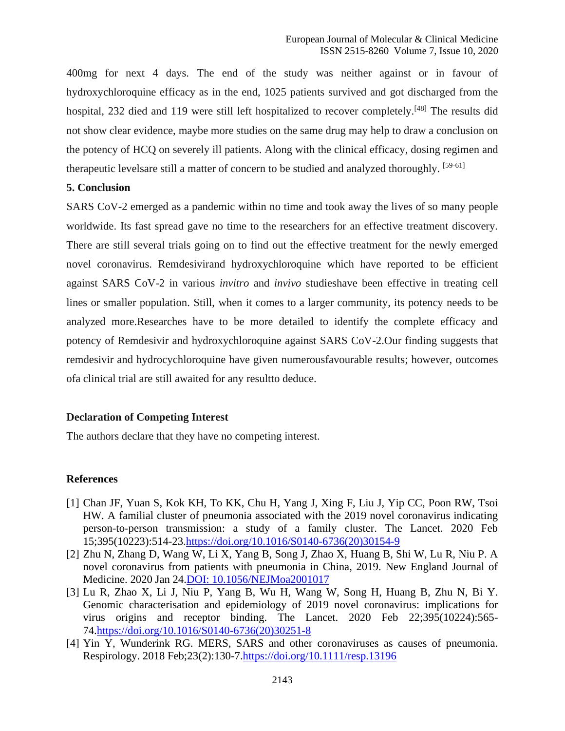400mg for next 4 days. The end of the study was neither against or in favour of hydroxychloroquine efficacy as in the end, 1025 patients survived and got discharged from the hospital, 232 died and 119 were still left hospitalized to recover completely.<sup>[48]</sup> The results did not show clear evidence, maybe more studies on the same drug may help to draw a conclusion on the potency of HCQ on severely ill patients. Along with the clinical efficacy, dosing regimen and therapeutic levelsare still a matter of concern to be studied and analyzed thoroughly. [59-61]

# **5. Conclusion**

SARS CoV-2 emerged as a pandemic within no time and took away the lives of so many people worldwide. Its fast spread gave no time to the researchers for an effective treatment discovery. There are still several trials going on to find out the effective treatment for the newly emerged novel coronavirus. Remdesivirand hydroxychloroquine which have reported to be efficient against SARS CoV-2 in various *invitro* and *invivo* studieshave been effective in treating cell lines or smaller population. Still, when it comes to a larger community, its potency needs to be analyzed more.Researches have to be more detailed to identify the complete efficacy and potency of Remdesivir and hydroxychloroquine against SARS CoV-2.Our finding suggests that remdesivir and hydrocychloroquine have given numerousfavourable results; however, outcomes ofa clinical trial are still awaited for any resultto deduce.

#### **Declaration of Competing Interest**

The authors declare that they have no competing interest.

## **References**

- [1] Chan JF, Yuan S, Kok KH, To KK, Chu H, Yang J, Xing F, Liu J, Yip CC, Poon RW, Tsoi HW. A familial cluster of pneumonia associated with the 2019 novel coronavirus indicating person-to-person transmission: a study of a family cluster. The Lancet. 2020 Feb 15;395(10223):514-23[.https://doi.org/10.1016/S0140-6736\(20\)30154-9](https://doi.org/10.1016/S0140-6736(20)30154-9)
- [2] Zhu N, Zhang D, Wang W, Li X, Yang B, Song J, Zhao X, Huang B, Shi W, Lu R, Niu P. A novel coronavirus from patients with pneumonia in China, 2019. New England Journal of Medicine. 2020 Jan 24.DOI: 10.1056/NEJMoa2001017
- [3] Lu R, Zhao X, Li J, Niu P, Yang B, Wu H, Wang W, Song H, Huang B, Zhu N, Bi Y. Genomic characterisation and epidemiology of 2019 novel coronavirus: implications for virus origins and receptor binding. The Lancet. 2020 Feb 22;395(10224):565- 74[.https://doi.org/10.1016/S0140-6736\(20\)30251-8](https://doi.org/10.1016/S0140-6736(20)30251-8)
- [4] Yin Y, Wunderink RG. MERS, SARS and other coronaviruses as causes of pneumonia. Respirology. 2018 Feb;23(2):130-7[.https://doi.org/10.1111/resp.13196](https://doi.org/10.1111/resp.13196)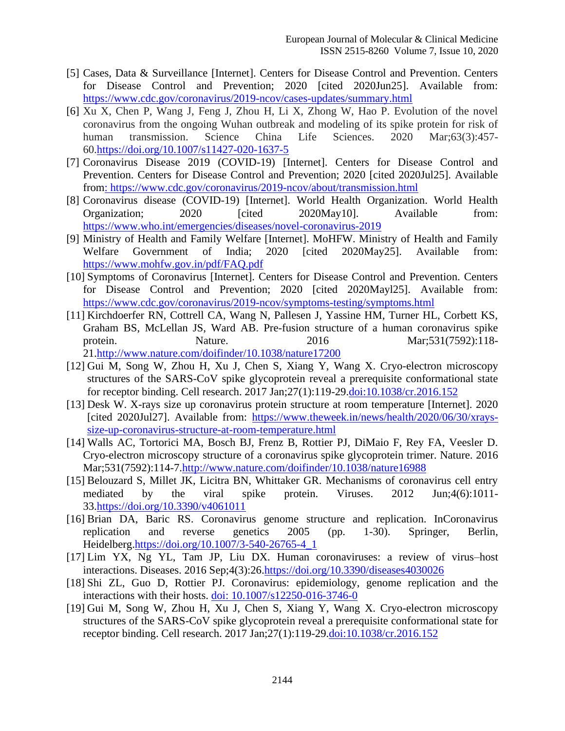- [5] Cases, Data & Surveillance [Internet]. Centers for Disease Control and Prevention. Centers for Disease Control and Prevention; 2020 [cited 2020Jun25]. Available from: <https://www.cdc.gov/coronavirus/2019-ncov/cases-updates/summary.html>
- [6] Xu X, Chen P, Wang J, Feng J, Zhou H, Li X, Zhong W, Hao P. Evolution of the novel coronavirus from the ongoing Wuhan outbreak and modeling of its spike protein for risk of human transmission. Science China Life Sciences. 2020 Mar;63(3):457- 60[.https://doi.org/10.1007/s11427-020-1637-5](https://doi.org/10.1007/s11427-020-1637-5)
- [7] Coronavirus Disease 2019 (COVID-19) [Internet]. Centers for Disease Control and Prevention. Centers for Disease Control and Prevention; 2020 [cited 2020Jul25]. Available from:<https://www.cdc.gov/coronavirus/2019-ncov/about/transmission.html>
- [8] Coronavirus disease (COVID-19) [Internet]. World Health Organization. World Health Organization; 2020 [cited 2020May10]. Available from: <https://www.who.int/emergencies/diseases/novel-coronavirus-2019>
- [9] Ministry of Health and Family Welfare [Internet]. MoHFW. Ministry of Health and Family Welfare Government of India; 2020 [cited 2020May25]. Available from: <https://www.mohfw.gov.in/pdf/FAQ.pdf>
- [10] Symptoms of Coronavirus [Internet]. Centers for Disease Control and Prevention. Centers for Disease Control and Prevention; 2020 [cited 2020Mayl25]. Available from: <https://www.cdc.gov/coronavirus/2019-ncov/symptoms-testing/symptoms.html>
- [11] Kirchdoerfer RN, Cottrell CA, Wang N, Pallesen J, Yassine HM, Turner HL, Corbett KS, Graham BS, McLellan JS, Ward AB. Pre-fusion structure of a human coronavirus spike protein. Nature. 2016 Mar;531(7592):118- 21[.http://www.nature.com/doifinder/10.1038/nature17200](http://www.nature.com/doifinder/10.1038/nature17200)
- [12] Gui M, Song W, Zhou H, Xu J, Chen S, Xiang Y, Wang X. Cryo-electron microscopy structures of the SARS-CoV spike glycoprotein reveal a prerequisite conformational state for receptor binding. Cell research. 2017 Jan;27(1):119-29.doi:10.1038/cr.2016.152
- [13] Desk W. X-rays size up coronavirus protein structure at room temperature [Internet]. 2020 [cited 2020Jul27]. Available from: [https://www.theweek.in/news/health/2020/06/30/xrays](https://www.theweek.in/news/health/2020/06/30/xrays-size-up-coronavirus-structure-at-room-temperature.html)[size-up-coronavirus-structure-at-room-temperature.html](https://www.theweek.in/news/health/2020/06/30/xrays-size-up-coronavirus-structure-at-room-temperature.html)
- [14] Walls AC, Tortorici MA, Bosch BJ, Frenz B, Rottier PJ, DiMaio F, Rey FA, Veesler D. Cryo-electron microscopy structure of a coronavirus spike glycoprotein trimer. Nature. 2016 Mar;531(7592):114-7[.http://www.nature.com/doifinder/10.1038/nature16988](http://www.nature.com/doifinder/10.1038/nature16988)
- [15] Belouzard S, Millet JK, Licitra BN, Whittaker GR. Mechanisms of coronavirus cell entry mediated by the viral spike protein. Viruses. 2012 Jun;4(6):1011- 33[.https://doi.org/10.3390/v4061011](https://doi.org/10.3390/v4061011)
- [16] Brian DA, Baric RS. Coronavirus genome structure and replication. InCoronavirus replication and reverse genetics 2005 (pp. 1-30). Springer, Berlin, Heidelberg[.https://doi.org/10.1007/3-540-26765-4\\_1](https://doi.org/10.1007/3-540-26765-4_1)
- [17] Lim YX, Ng YL, Tam JP, Liu DX. Human coronaviruses: a review of virus–host interactions. Diseases. 2016 Sep;4(3):26[.https://doi.org/10.3390/diseases4030026](https://doi.org/10.3390/diseases4030026)
- [18] Shi ZL, Guo D, Rottier PJ. Coronavirus: epidemiology, genome replication and the interactions with their hosts. doi: 10.1007/s12250-016-3746-0
- [19] Gui M, Song W, Zhou H, Xu J, Chen S, Xiang Y, Wang X. Cryo-electron microscopy structures of the SARS-CoV spike glycoprotein reveal a prerequisite conformational state for receptor binding. Cell research. 2017 Jan; 27(1): 119-29. doi: 10.1038/cr. 2016.152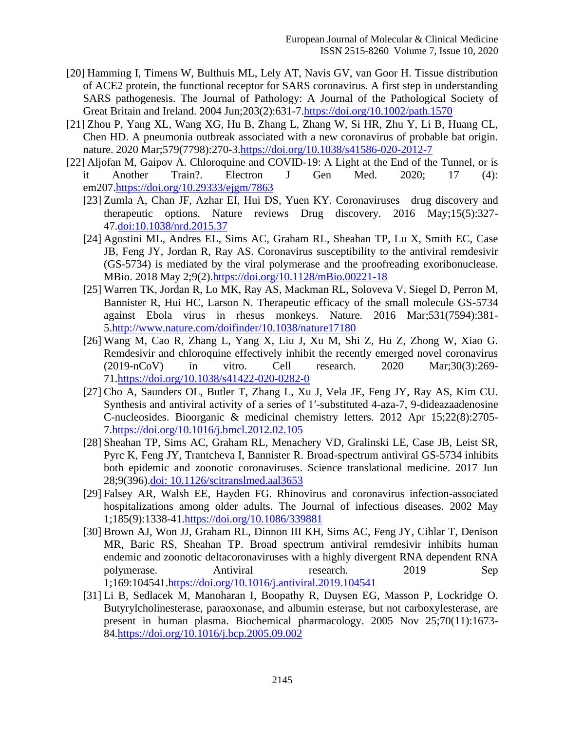- [20] Hamming I, Timens W, Bulthuis ML, Lely AT, Navis GV, van Goor H. Tissue distribution of ACE2 protein, the functional receptor for SARS coronavirus. A first step in understanding SARS pathogenesis. The Journal of Pathology: A Journal of the Pathological Society of Great Britain and Ireland. 2004 Jun;203(2):631-7[.https://doi.org/10.1002/path.1570](https://doi.org/10.1002/path.1570)
- [21] Zhou P, Yang XL, Wang XG, Hu B, Zhang L, Zhang W, Si HR, Zhu Y, Li B, Huang CL, Chen HD. A pneumonia outbreak associated with a new coronavirus of probable bat origin. nature. 2020 Mar;579(7798):270-3[.https://doi.org/10.1038/s41586-020-2012-7](https://doi.org/10.1038/s41586-020-2012-7)
- [22] Aljofan M, Gaipov A. Chloroquine and COVID-19: A Light at the End of the Tunnel, or is it Another Train?. Electron J Gen Med. 2020; 17 (4): em207[.https://doi.org/10.29333/ejgm/7863](https://doi.org/10.29333/ejgm/7863)
	- [23] Zumla A, Chan JF, Azhar EI, Hui DS, Yuen KY. Coronaviruses—drug discovery and therapeutic options. Nature reviews Drug discovery. 2016 May;15(5):327- 47.doi:10.1038/nrd.2015.37
	- [24] Agostini ML, Andres EL, Sims AC, Graham RL, Sheahan TP, Lu X, Smith EC, Case JB, Feng JY, Jordan R, Ray AS. Coronavirus susceptibility to the antiviral remdesivir (GS-5734) is mediated by the viral polymerase and the proofreading exoribonuclease. MBio. 2018 May 2;9(2)[.https://doi.org/10.1128/mBio.00221-18](https://doi.org/10.1128/mBio.00221-18)
	- [25] Warren TK, Jordan R, Lo MK, Ray AS, Mackman RL, Soloveva V, Siegel D, Perron M, Bannister R, Hui HC, Larson N. Therapeutic efficacy of the small molecule GS-5734 against Ebola virus in rhesus monkeys. Nature. 2016 Mar;531(7594):381- 5[.http://www.nature.com/doifinder/10.1038/nature17180](http://www.nature.com/doifinder/10.1038/nature17180)
	- [26] Wang M, Cao R, Zhang L, Yang X, Liu J, Xu M, Shi Z, Hu Z, Zhong W, Xiao G. Remdesivir and chloroquine effectively inhibit the recently emerged novel coronavirus (2019-nCoV) in vitro. Cell research. 2020 Mar;30(3):269- 71[.https://doi.org/10.1038/s41422-020-0282-0](https://doi.org/10.1038/s41422-020-0282-0)
	- [27] Cho A, Saunders OL, Butler T, Zhang L, Xu J, Vela JE, Feng JY, Ray AS, Kim CU. Synthesis and antiviral activity of a series of 1′-substituted 4-aza-7, 9-dideazaadenosine C-nucleosides. Bioorganic & medicinal chemistry letters. 2012 Apr 15;22(8):2705- 7[.https://doi.org/10.1016/j.bmcl.2012.02.105](https://doi.org/10.1016/j.bmcl.2012.02.105)
	- [28] Sheahan TP, Sims AC, Graham RL, Menachery VD, Gralinski LE, Case JB, Leist SR, Pyrc K, Feng JY, Trantcheva I, Bannister R. Broad-spectrum antiviral GS-5734 inhibits both epidemic and zoonotic coronaviruses. Science translational medicine. 2017 Jun 28;9(396).doi: 10.1126/scitranslmed.aal3653
	- [29] Falsey AR, Walsh EE, Hayden FG. Rhinovirus and coronavirus infection-associated hospitalizations among older adults. The Journal of infectious diseases. 2002 May 1;185(9):1338-41[.https://doi.org/10.1086/339881](https://doi.org/10.1086/339881)
	- [30] Brown AJ, Won JJ, Graham RL, Dinnon III KH, Sims AC, Feng JY, Cihlar T, Denison MR, Baric RS, Sheahan TP. Broad spectrum antiviral remdesivir inhibits human endemic and zoonotic deltacoronaviruses with a highly divergent RNA dependent RNA polymerase. Antiviral research. 2019 Sep 1;169:104541[.https://doi.org/10.1016/j.antiviral.2019.104541](https://doi.org/10.1016/j.antiviral.2019.104541)
	- [31] Li B, Sedlacek M, Manoharan I, Boopathy R, Duysen EG, Masson P, Lockridge O. Butyrylcholinesterase, paraoxonase, and albumin esterase, but not carboxylesterase, are present in human plasma. Biochemical pharmacology. 2005 Nov 25;70(11):1673- 84[.https://doi.org/10.1016/j.bcp.2005.09.002](https://doi.org/10.1016/j.bcp.2005.09.002)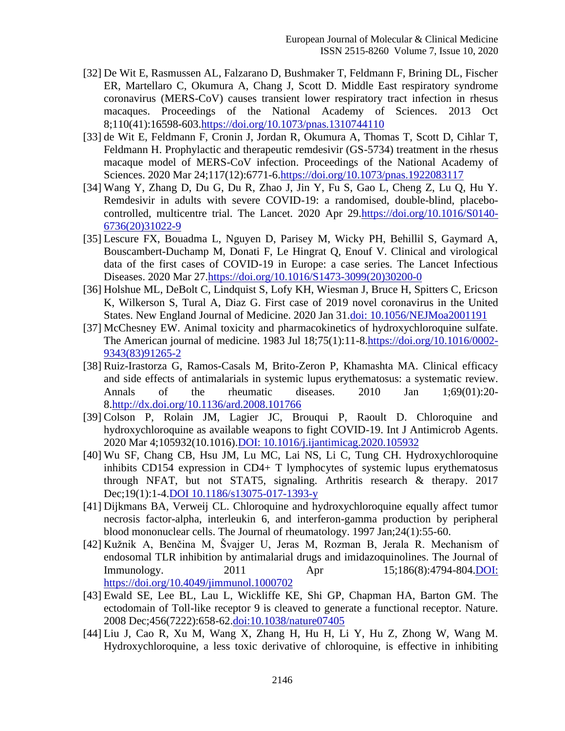- [32] De Wit E, Rasmussen AL, Falzarano D, Bushmaker T, Feldmann F, Brining DL, Fischer ER, Martellaro C, Okumura A, Chang J, Scott D. Middle East respiratory syndrome coronavirus (MERS-CoV) causes transient lower respiratory tract infection in rhesus macaques. Proceedings of the National Academy of Sciences. 2013 Oct 8;110(41):16598-603[.https://doi.org/10.1073/pnas.1310744110](https://doi.org/10.1073/pnas.1310744110)
- [33] de Wit E, Feldmann F, Cronin J, Jordan R, Okumura A, Thomas T, Scott D, Cihlar T, Feldmann H. Prophylactic and therapeutic remdesivir (GS-5734) treatment in the rhesus macaque model of MERS-CoV infection. Proceedings of the National Academy of Sciences. 2020 Mar 24;117(12):6771-6[.https://doi.org/10.1073/pnas.1922083117](https://doi.org/10.1073/pnas.1922083117)
- [34] Wang Y, Zhang D, Du G, Du R, Zhao J, Jin Y, Fu S, Gao L, Cheng Z, Lu Q, Hu Y. Remdesivir in adults with severe COVID-19: a randomised, double-blind, placebocontrolled, multicentre trial. The Lancet. 2020 Apr 29[.https://doi.org/10.1016/S0140-](https://doi.org/10.1016/S0140-6736(20)31022-9) [6736\(20\)31022-9](https://doi.org/10.1016/S0140-6736(20)31022-9)
- [35] Lescure FX, Bouadma L, Nguyen D, Parisey M, Wicky PH, Behillil S, Gaymard A, Bouscambert-Duchamp M, Donati F, Le Hingrat Q, Enouf V. Clinical and virological data of the first cases of COVID-19 in Europe: a case series. The Lancet Infectious Diseases. 2020 Mar 27[.https://doi.org/10.1016/S1473-3099\(20\)30200-0](https://doi.org/10.1016/S1473-3099(20)30200-0)
- [36] Holshue ML, DeBolt C, Lindquist S, Lofy KH, Wiesman J, Bruce H, Spitters C, Ericson K, Wilkerson S, Tural A, Diaz G. First case of 2019 novel coronavirus in the United States. New England Journal of Medicine. 2020 Jan 31.doi: 10.1056/NEJMoa2001191
- [37] McChesney EW. Animal toxicity and pharmacokinetics of hydroxychloroquine sulfate. The American journal of medicine. 1983 Jul 18;75(1):11-8[.https://doi.org/10.1016/0002-](https://doi.org/10.1016/0002-9343(83)91265-2) [9343\(83\)91265-2](https://doi.org/10.1016/0002-9343(83)91265-2)
- [38] Ruiz-Irastorza G, Ramos-Casals M, Brito-Zeron P, Khamashta MA. Clinical efficacy and side effects of antimalarials in systemic lupus erythematosus: a systematic review. Annals of the rheumatic diseases. 2010 Jan 1;69(01):20- 8[.http://dx.doi.org/10.1136/ard.2008.101766](http://dx.doi.org/10.1136/ard.2008.101766)
- [39] Colson P, Rolain JM, Lagier JC, Brouqui P, Raoult D. Chloroquine and hydroxychloroquine as available weapons to fight COVID-19. Int J Antimicrob Agents. 2020 Mar 4;105932(10.1016).DOI: 10.1016/j.ijantimicag.2020.105932
- [40] Wu SF, Chang CB, Hsu JM, Lu MC, Lai NS, Li C, Tung CH. Hydroxychloroquine inhibits CD154 expression in CD4+ T lymphocytes of systemic lupus erythematosus through NFAT, but not STAT5, signaling. Arthritis research & therapy. 2017 Dec;19(1):1-4.DOI 10.1186/s13075-017-1393-y
- [41] Dijkmans BA, Verweij CL. Chloroquine and hydroxychloroquine equally affect tumor necrosis factor-alpha, interleukin 6, and interferon-gamma production by peripheral blood mononuclear cells. The Journal of rheumatology. 1997 Jan;24(1):55-60.
- [42] Kužnik A, Benčina M, Švajger U, Jeras M, Rozman B, Jerala R. Mechanism of endosomal TLR inhibition by antimalarial drugs and imidazoquinolines. The Journal of Immunology. 2011 Apr 15;186(8):4794-804.DOI: https://doi.org/10.4049/jimmunol.1000702
- [43] Ewald SE, Lee BL, Lau L, Wickliffe KE, Shi GP, Chapman HA, Barton GM. The ectodomain of Toll-like receptor 9 is cleaved to generate a functional receptor. Nature. 2008 Dec;456(7222):658-62.doi:10.1038/nature07405
- [44] Liu J, Cao R, Xu M, Wang X, Zhang H, Hu H, Li Y, Hu Z, Zhong W, Wang M. Hydroxychloroquine, a less toxic derivative of chloroquine, is effective in inhibiting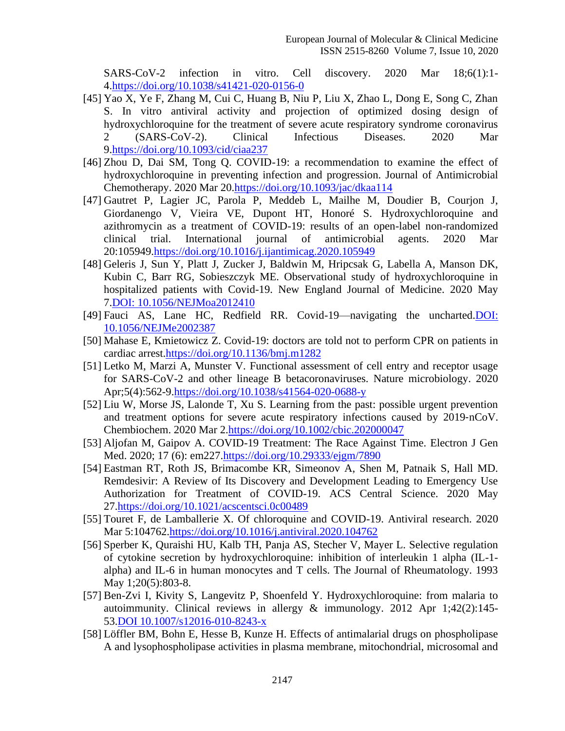SARS-CoV-2 infection in vitro. Cell discovery. 2020 Mar 18;6(1):1- 4[.https://doi.org/10.1038/s41421-020-0156-0](https://doi.org/10.1038/s41421-020-0156-0)

- [45] Yao X, Ye F, Zhang M, Cui C, Huang B, Niu P, Liu X, Zhao L, Dong E, Song C, Zhan S. In vitro antiviral activity and projection of optimized dosing design of hydroxychloroquine for the treatment of severe acute respiratory syndrome coronavirus 2 (SARS-CoV-2). Clinical Infectious Diseases. 2020 Mar 9[.https://doi.org/10.1093/cid/ciaa237](https://doi.org/10.1093/cid/ciaa237)
- [46] Zhou D, Dai SM, Tong Q. COVID-19: a recommendation to examine the effect of hydroxychloroquine in preventing infection and progression. Journal of Antimicrobial Chemotherapy. 2020 Mar 20[.https://doi.org/10.1093/jac/dkaa114](https://doi.org/10.1093/jac/dkaa114)
- [47] Gautret P, Lagier JC, Parola P, Meddeb L, Mailhe M, Doudier B, Courjon J, Giordanengo V, Vieira VE, Dupont HT, Honoré S. Hydroxychloroquine and azithromycin as a treatment of COVID-19: results of an open-label non-randomized clinical trial. International journal of antimicrobial agents. 2020 Mar 20:105949[.https://doi.org/10.1016/j.ijantimicag.2020.105949](https://doi.org/10.1016/j.ijantimicag.2020.105949)
- [48] Geleris J, Sun Y, Platt J, Zucker J, Baldwin M, Hripcsak G, Labella A, Manson DK, Kubin C, Barr RG, Sobieszczyk ME. Observational study of hydroxychloroquine in hospitalized patients with Covid-19. New England Journal of Medicine. 2020 May 7.DOI: 10.1056/NEJMoa2012410
- [49] Fauci AS, Lane HC, Redfield RR. Covid-19—navigating the uncharted.DOI: 10.1056/NEJMe2002387
- [50] Mahase E, Kmietowicz Z. Covid-19: doctors are told not to perform CPR on patients in cardiac arrest[.https://doi.org/10.1136/bmj.m1282](https://doi.org/10.1136/bmj.m1282)
- [51] Letko M, Marzi A, Munster V. Functional assessment of cell entry and receptor usage for SARS-CoV-2 and other lineage B betacoronaviruses. Nature microbiology. 2020 Apr;5(4):562-9[.https://doi.org/10.1038/s41564-020-0688-y](https://doi.org/10.1038/s41564-020-0688-y)
- [52] Liu W, Morse JS, Lalonde T, Xu S. Learning from the past: possible urgent prevention and treatment options for severe acute respiratory infections caused by 2019‐nCoV. Chembiochem. 2020 Mar 2[.https://doi.org/10.1002/cbic.202000047](https://doi.org/10.1002/cbic.202000047)
- [53] Aljofan M, Gaipov A. COVID-19 Treatment: The Race Against Time. Electron J Gen Med. 2020; 17 (6): em227[.https://doi.org/10.29333/ejgm/7890](https://doi.org/10.29333/ejgm/7890)
- [54] Eastman RT, Roth JS, Brimacombe KR, Simeonov A, Shen M, Patnaik S, Hall MD. Remdesivir: A Review of Its Discovery and Development Leading to Emergency Use Authorization for Treatment of COVID-19. ACS Central Science. 2020 May 27[.https://doi.org/10.1021/acscentsci.0c00489](https://doi.org/10.1021/acscentsci.0c00489)
- [55] Touret F, de Lamballerie X. Of chloroquine and COVID-19. Antiviral research. 2020 Mar 5:104762[.https://doi.org/10.1016/j.antiviral.2020.104762](https://doi.org/10.1016/j.antiviral.2020.104762)
- [56] Sperber K, Quraishi HU, Kalb TH, Panja AS, Stecher V, Mayer L. Selective regulation of cytokine secretion by hydroxychloroquine: inhibition of interleukin 1 alpha (IL-1 alpha) and IL-6 in human monocytes and T cells. The Journal of Rheumatology. 1993 May 1;20(5):803-8.
- [57] Ben-Zvi I, Kivity S, Langevitz P, Shoenfeld Y. Hydroxychloroquine: from malaria to autoimmunity. Clinical reviews in allergy & immunology. 2012 Apr 1;42(2):145- 53.DOI 10.1007/s12016-010-8243-x
- [58] Löffler BM, Bohn E, Hesse B, Kunze H. Effects of antimalarial drugs on phospholipase A and lysophospholipase activities in plasma membrane, mitochondrial, microsomal and